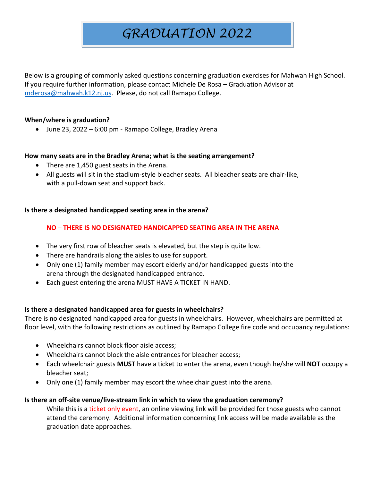# *GRADUATION 2022*

Below is a grouping of commonly asked questions concerning graduation exercises for Mahwah High School. If you require further information, please contact Michele De Rosa – Graduation Advisor at [mderosa@mahwah.k12.nj.us.](mailto:mderosa@mahwah.k12.nj.us) Please, do not call Ramapo College.

## **When/where is graduation?**

• June 23, 2022 – 6:00 pm - Ramapo College, Bradley Arena

#### **How many seats are in the Bradley Arena; what is the seating arrangement?**

- There are 1,450 guest seats in the Arena.
- All guests will sit in the stadium-style bleacher seats. All bleacher seats are chair-like, with a pull-down seat and support back.

## **Is there a designated handicapped seating area in the arena?**

## **NO** – **THERE IS NO DESIGNATED HANDICAPPED SEATING AREA IN THE ARENA**

- The very first row of bleacher seats is elevated, but the step is quite low.
- There are handrails along the aisles to use for support.
- Only one (1) family member may escort elderly and/or handicapped guests into the arena through the designated handicapped entrance.
- Each guest entering the arena MUST HAVE A TICKET IN HAND.

# **Is there a designated handicapped area for guests in wheelchairs?**

There is no designated handicapped area for guests in wheelchairs. However, wheelchairs are permitted at floor level, with the following restrictions as outlined by Ramapo College fire code and occupancy regulations:

- Wheelchairs cannot block floor aisle access;
- Wheelchairs cannot block the aisle entrances for bleacher access;
- Each wheelchair guests **MUST** have a ticket to enter the arena, even though he/she will **NOT** occupy a bleacher seat;
- Only one (1) family member may escort the wheelchair guest into the arena.

#### **Is there an off-site venue/live-stream link in which to view the graduation ceremony?**

While this is a ticket only event, an online viewing link will be provided for those guests who cannot attend the ceremony. Additional information concerning link access will be made available as the graduation date approaches.